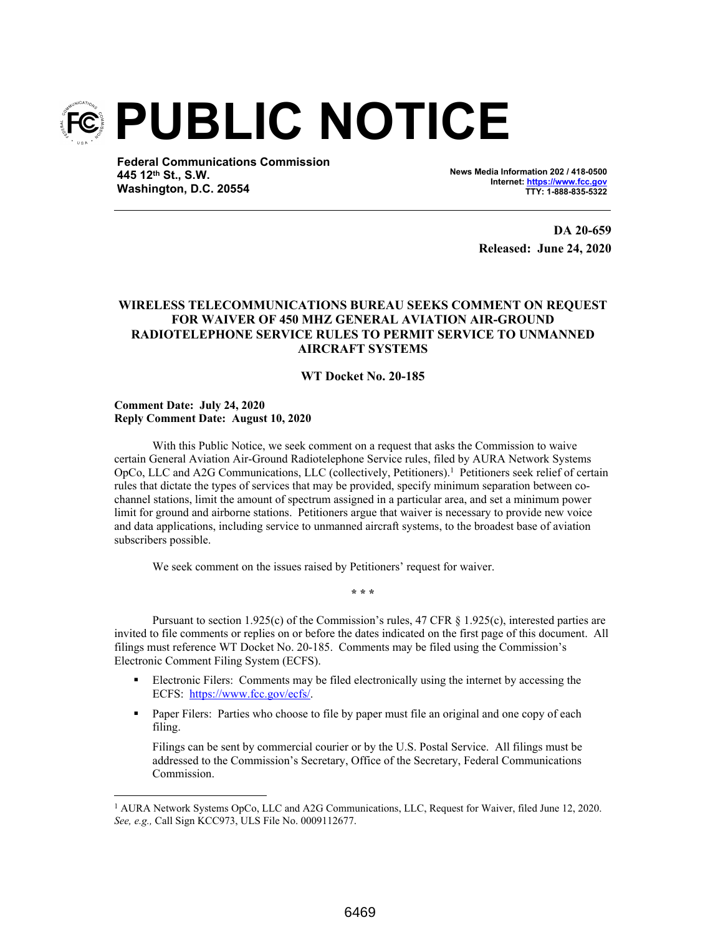

**Federal Communications Commission 445 12th St., S.W. Washington, D.C. 20554**

**News Media Information 202 / 418-0500 Internet: https://www.fcc.gov TTY: 1-888-835-5322**

> **DA 20-659 Released: June 24, 2020**

## **WIRELESS TELECOMMUNICATIONS BUREAU SEEKS COMMENT ON REQUEST FOR WAIVER OF 450 MHZ GENERAL AVIATION AIR-GROUND RADIOTELEPHONE SERVICE RULES TO PERMIT SERVICE TO UNMANNED AIRCRAFT SYSTEMS**

## **WT Docket No. 20-185**

**Comment Date: July 24, 2020 Reply Comment Date: August 10, 2020**

With this Public Notice, we seek comment on a request that asks the Commission to waive certain General Aviation Air-Ground Radiotelephone Service rules, filed by AURA Network Systems OpCo, LLC and A2G Communications, LLC (collectively, Petitioners).<sup>1</sup> Petitioners seek relief of certain rules that dictate the types of services that may be provided, specify minimum separation between cochannel stations, limit the amount of spectrum assigned in a particular area, and set a minimum power limit for ground and airborne stations. Petitioners argue that waiver is necessary to provide new voice and data applications, including service to unmanned aircraft systems, to the broadest base of aviation subscribers possible.

We seek comment on the issues raised by Petitioners' request for waiver.

Pursuant to section 1.925(c) of the Commission's rules, 47 CFR § 1.925(c), interested parties are invited to file comments or replies on or before the dates indicated on the first page of this document. All filings must reference WT Docket No. 20-185. Comments may be filed using the Commission's Electronic Comment Filing System (ECFS).

**\* \* \***

- Electronic Filers: Comments may be filed electronically using the internet by accessing the ECFS: https://www.fcc.gov/ecfs/.
- **Paper Filers:** Parties who choose to file by paper must file an original and one copy of each filing.

Filings can be sent by commercial courier or by the U.S. Postal Service. All filings must be addressed to the Commission's Secretary, Office of the Secretary, Federal Communications Commission.

<sup>&</sup>lt;sup>1</sup> AURA Network Systems OpCo, LLC and A2G Communications, LLC, Request for Waiver, filed June 12, 2020. *See, e.g.,* Call Sign KCC973, ULS File No. 0009112677.